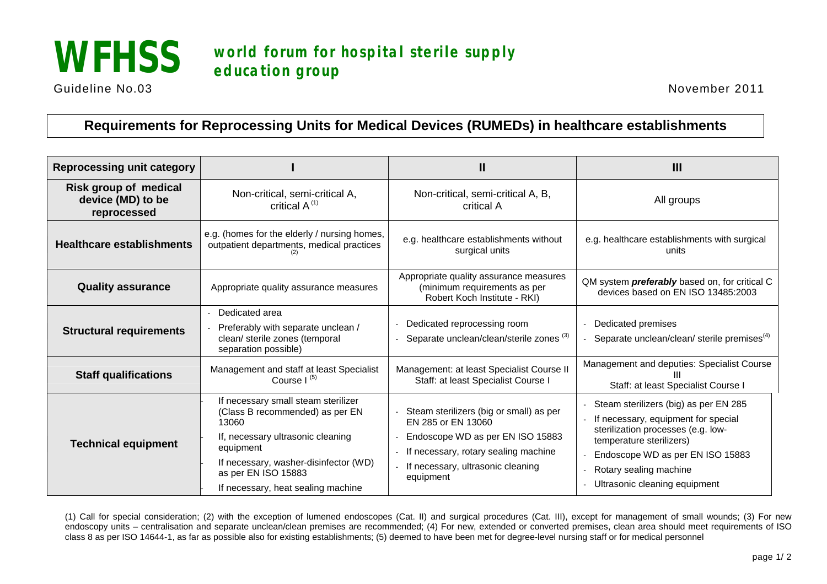

## **WFHSS world forum for hospital sterile supply education group**

Guideline No.03 November 2011

## **Requirements for Reprocessing Units for Medical Devices (RUMEDs) in healthcare establishments**

| <b>Reprocessing unit category</b>                         |                                                                                                                                                                                                                                         | Ш                                                                                                                                                                                           | $\mathbf{III}$                                                                                                                                                                                                                                        |
|-----------------------------------------------------------|-----------------------------------------------------------------------------------------------------------------------------------------------------------------------------------------------------------------------------------------|---------------------------------------------------------------------------------------------------------------------------------------------------------------------------------------------|-------------------------------------------------------------------------------------------------------------------------------------------------------------------------------------------------------------------------------------------------------|
| Risk group of medical<br>device (MD) to be<br>reprocessed | Non-critical, semi-critical A,<br>critical $A^{(1)}$                                                                                                                                                                                    | Non-critical, semi-critical A, B,<br>critical A                                                                                                                                             | All groups                                                                                                                                                                                                                                            |
| <b>Healthcare establishments</b>                          | e.g. (homes for the elderly / nursing homes,<br>outpatient departments, medical practices                                                                                                                                               | e.g. healthcare establishments without<br>surgical units                                                                                                                                    | e.g. healthcare establishments with surgical<br>units                                                                                                                                                                                                 |
| <b>Quality assurance</b>                                  | Appropriate quality assurance measures                                                                                                                                                                                                  | Appropriate quality assurance measures<br>(minimum requirements as per<br>Robert Koch Institute - RKI)                                                                                      | QM system <i>preferably</i> based on, for critical C<br>devices based on EN ISO 13485:2003                                                                                                                                                            |
| <b>Structural requirements</b>                            | Dedicated area<br>Preferably with separate unclean /<br>clean/ sterile zones (temporal<br>separation possible)                                                                                                                          | Dedicated reprocessing room<br>Separate unclean/clean/sterile zones <sup>(3)</sup>                                                                                                          | - Dedicated premises<br>- Separate unclean/clean/ sterile premises <sup>(4)</sup>                                                                                                                                                                     |
| <b>Staff qualifications</b>                               | Management and staff at least Specialist<br>Course $I^{(5)}$                                                                                                                                                                            | Management: at least Specialist Course II<br>Staff: at least Specialist Course I                                                                                                            | Management and deputies: Specialist Course<br>Staff: at least Specialist Course I                                                                                                                                                                     |
| <b>Technical equipment</b>                                | If necessary small steam sterilizer<br>(Class B recommended) as per EN<br>13060<br>If, necessary ultrasonic cleaning<br>equipment<br>If necessary, washer-disinfector (WD)<br>as per EN ISO 15883<br>If necessary, heat sealing machine | Steam sterilizers (big or small) as per<br>EN 285 or EN 13060<br>Endoscope WD as per EN ISO 15883<br>If necessary, rotary sealing machine<br>If necessary, ultrasonic cleaning<br>equipment | - Steam sterilizers (big) as per EN 285<br>- If necessary, equipment for special<br>sterilization processes (e.g. low-<br>temperature sterilizers)<br>Endoscope WD as per EN ISO 15883<br>- Rotary sealing machine<br>- Ultrasonic cleaning equipment |

(1) Call for special consideration; (2) with the exception of lumened endoscopes (Cat. II) and surgical procedures (Cat. III), except for management of small wounds; (3) For new endoscopy units – centralisation and separate unclean/clean premises are recommended; (4) For new, extended or converted premises, clean area should meet requirements of ISO class 8 as per ISO 14644-1, as far as possible also for existing establishments; (5) deemed to have been met for degree-level nursing staff or for medical personnel